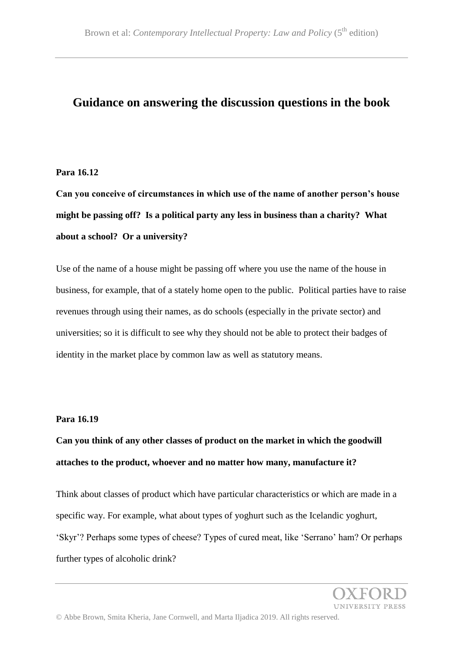### **Guidance on answering the discussion questions in the book**

#### **Para 16.12**

**Can you conceive of circumstances in which use of the name of another person's house might be passing off? Is a political party any less in business than a charity? What about a school? Or a university?**

Use of the name of a house might be passing off where you use the name of the house in business, for example, that of a stately home open to the public. Political parties have to raise revenues through using their names, as do schools (especially in the private sector) and universities; so it is difficult to see why they should not be able to protect their badges of identity in the market place by common law as well as statutory means.

#### **Para 16.19**

**Can you think of any other classes of product on the market in which the goodwill attaches to the product, whoever and no matter how many, manufacture it?**

Think about classes of product which have particular characteristics or which are made in a specific way. For example, what about types of yoghurt such as the Icelandic yoghurt, 'Skyr'? Perhaps some types of cheese? Types of cured meat, like 'Serrano' ham? Or perhaps further types of alcoholic drink?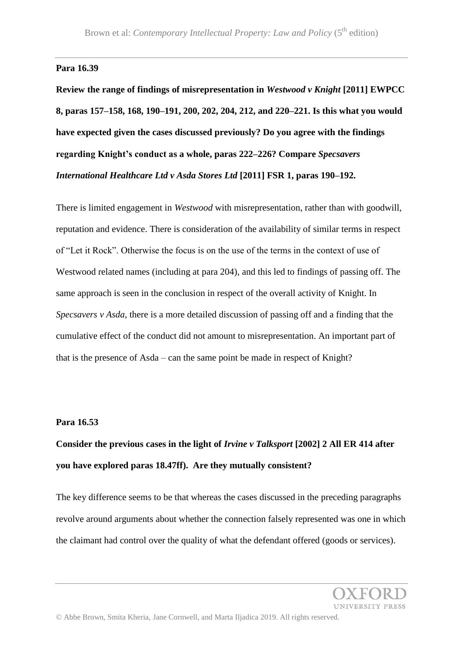#### **Para 16.39**

**Review the range of findings of misrepresentation in** *Westwood v Knight* **[2011] EWPCC 8, paras 157–158, 168, 190–191, 200, 202, 204, 212, and 220–221. Is this what you would have expected given the cases discussed previously? Do you agree with the findings regarding Knight's conduct as a whole, paras 222–226? Compare** *Specsavers International Healthcare Ltd v Asda Stores Ltd* **[2011] FSR 1, paras 190–192.**

There is limited engagement in *Westwood* with misrepresentation, rather than with goodwill, reputation and evidence. There is consideration of the availability of similar terms in respect of "Let it Rock". Otherwise the focus is on the use of the terms in the context of use of Westwood related names (including at para 204), and this led to findings of passing off. The same approach is seen in the conclusion in respect of the overall activity of Knight. In *Specsavers v Asda*, there is a more detailed discussion of passing off and a finding that the cumulative effect of the conduct did not amount to misrepresentation. An important part of that is the presence of Asda – can the same point be made in respect of Knight?

#### **Para 16.53**

## **Consider the previous cases in the light of** *Irvine v Talksport* **[2002] 2 All ER 414 after you have explored paras 18.47ff). Are they mutually consistent?**

The key difference seems to be that whereas the cases discussed in the preceding paragraphs revolve around arguments about whether the connection falsely represented was one in which the claimant had control over the quality of what the defendant offered (goods or services).